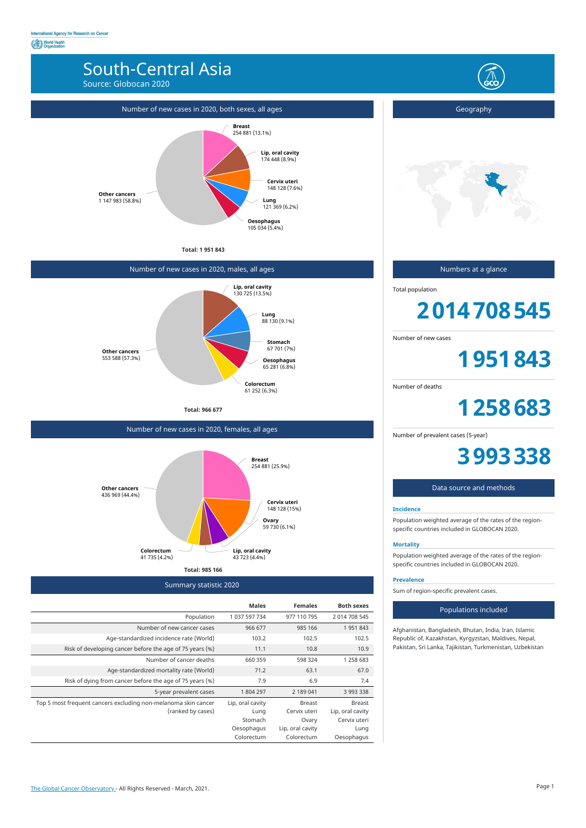# South-Central Asia

Source: Globocan 2020



Summary statistic 2020

|                                                                | <b>Males</b>     | <b>Females</b>   | <b>Both sexes</b> |
|----------------------------------------------------------------|------------------|------------------|-------------------|
| Population                                                     | 1 037 597 734    | 977 110 795      | 2 014 708 545     |
| Number of new cancer cases                                     | 966 677          | 985 166          | 1951843           |
| Age-standardized incidence rate (World)                        | 103.2            | 102.5            | 102.5             |
| Risk of developing cancer before the age of 75 years (%)       | 11.1             | 10.8             | 10.9              |
| Number of cancer deaths                                        | 660 359          | 598 324          | 1 258 683         |
| Age-standardized mortality rate (World)                        | 71.2             | 63.1             | 67.0              |
| Risk of dying from cancer before the age of 75 years (%)       | 7.9              | 6.9              | 7.4               |
| 5-year prevalent cases                                         | 1 804 297        | 2 189 041        | 3 993 338         |
| Top 5 most frequent cancers excluding non-melanoma skin cancer | Lip, oral cavity | <b>Breast</b>    | <b>Breast</b>     |
| (ranked by cases)                                              | Lung             | Cervix uteri     | Lip, oral cavity  |
|                                                                | Stomach          | Ovary            | Cervix uteri      |
|                                                                | Oesophagus       | Lip, oral cavity | Lung              |
|                                                                | Colorectum       | Colorectum       | Oesophagus        |

### Number of new cases in 2020, both sexes, all ages

**Total: 1 951 843**



## Number of new cases in 2020, males, all ages

**Total: 966 677**



Number of new cases in 2020, females, all ages



Geography



## Numbers at a glance

Total population

# **2014708545**

Number of new cases

**1951843**

Number of deaths

**1258683**

Number of prevalent cases (5-year)

# **3993338**

## Data source and methods

#### **Incidence**

Population weighted average of the rates of the regionspecific countries included in GLOBOCAN 2020.

#### **Mortality**

Population weighted average of the rates of the regionspecific countries included in GLOBOCAN 2020.

#### **Prevalence**

Sum of region-specific prevalent cases.

#### Populations included

Afghanistan, Bangladesh, Bhutan, India, Iran, Islamic Republic of, Kazakhstan, Kyrgyzstan, Maldives, Nepal, Pakistan, Sri Lanka, Tajikistan, Turkmenistan, Uzbekistan